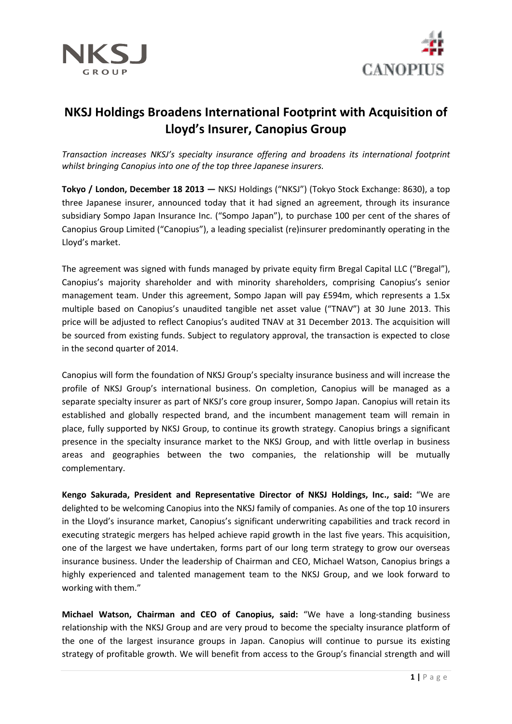



# **NKSJ Holdings Broadens International Footprint with Acquisition of Lloyd's Insurer, Canopius Group**

*Transaction increases NKSJ's specialty insurance offering and broadens its international footprint whilst bringing Canopius into one of the top three Japanese insurers.*

**Tokyo / London, December 18 2013 —** NKSJ Holdings ("NKSJ") (Tokyo Stock Exchange: 8630), a top three Japanese insurer, announced today that it had signed an agreement, through its insurance subsidiary Sompo Japan Insurance Inc. ("Sompo Japan"), to purchase 100 per cent of the shares of Canopius Group Limited ("Canopius"), a leading specialist (re)insurer predominantly operating in the Lloyd's market.

The agreement was signed with funds managed by private equity firm Bregal Capital LLC ("Bregal"), Canopius's majority shareholder and with minority shareholders, comprising Canopius's senior management team. Under this agreement, Sompo Japan will pay £594m, which represents a 1.5x multiple based on Canopius's unaudited tangible net asset value ("TNAV") at 30 June 2013. This price will be adjusted to reflect Canopius's audited TNAV at 31 December 2013. The acquisition will be sourced from existing funds. Subject to regulatory approval, the transaction is expected to close in the second quarter of 2014.

Canopius will form the foundation of NKSJ Group's specialty insurance business and will increase the profile of NKSJ Group's international business. On completion, Canopius will be managed as a separate specialty insurer as part of NKSJ's core group insurer, Sompo Japan. Canopius will retain its established and globally respected brand, and the incumbent management team will remain in place, fully supported by NKSJ Group, to continue its growth strategy. Canopius brings a significant presence in the specialty insurance market to the NKSJ Group, and with little overlap in business areas and geographies between the two companies, the relationship will be mutually complementary.

**Kengo Sakurada, President and Representative Director of NKSJ Holdings, Inc., said:** "We are delighted to be welcoming Canopius into the NKSJ family of companies. As one of the top 10 insurers in the Lloyd's insurance market, Canopius's significant underwriting capabilities and track record in executing strategic mergers has helped achieve rapid growth in the last five years. This acquisition, one of the largest we have undertaken, forms part of our long term strategy to grow our overseas insurance business. Under the leadership of Chairman and CEO, Michael Watson, Canopius brings a highly experienced and talented management team to the NKSJ Group, and we look forward to working with them."

**Michael Watson, Chairman and CEO of Canopius, said:** "We have a long-standing business relationship with the NKSJ Group and are very proud to become the specialty insurance platform of the one of the largest insurance groups in Japan. Canopius will continue to pursue its existing strategy of profitable growth. We will benefit from access to the Group's financial strength and will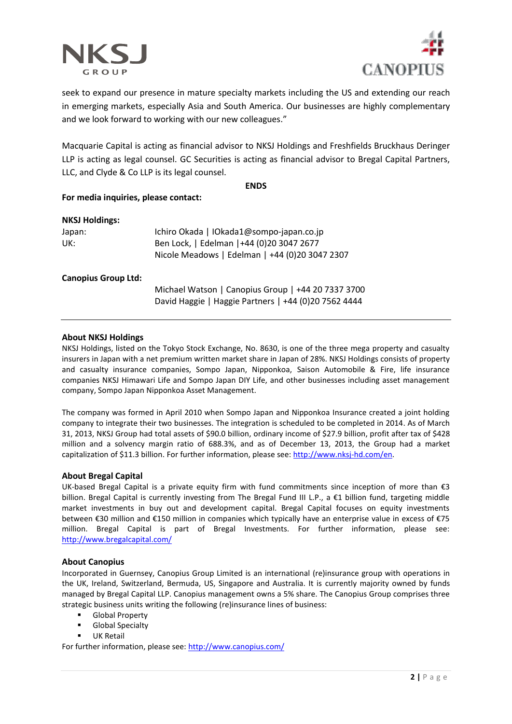



seek to expand our presence in mature specialty markets including the US and extending our reach in emerging markets, especially Asia and South America. Our businesses are highly complementary and we look forward to working with our new colleagues."

Macquarie Capital is acting as financial advisor to NKSJ Holdings and Freshfields Bruckhaus Deringer LLP is acting as legal counsel. GC Securities is acting as financial advisor to Bregal Capital Partners, LLC, and Clyde & Co LLP is its legal counsel.

**ENDS**

## **For media inquiries, please contact:**

| <b>NKSJ Holdings:</b>      |                                                      |
|----------------------------|------------------------------------------------------|
| Japan:                     | Ichiro Okada   IOkada1@sompo-japan.co.jp             |
| UK:                        | Ben Lock,   Edelman   +44 (0) 20 3047 2677           |
|                            | Nicole Meadows   Edelman   +44 (0)20 3047 2307       |
| <b>Canopius Group Ltd:</b> |                                                      |
|                            | Michael Watson   Canopius Group   +44 20 7337 3700   |
|                            | David Haggie   Haggie Partners   +44 (0)20 7562 4444 |

## **About NKSJ Holdings**

NKSJ Holdings, listed on the Tokyo Stock Exchange, No. 8630, is one of the three mega property and casualty insurers in Japan with a net premium written market share in Japan of 28%. NKSJ Holdings consists of property and casualty insurance companies, Sompo Japan, Nipponkoa, Saison Automobile & Fire, life insurance companies NKSJ Himawari Life and Sompo Japan DIY Life, and other businesses including asset management company, Sompo Japan Nipponkoa Asset Management.

The company was formed in April 2010 when Sompo Japan and Nipponkoa Insurance created a joint holding company to integrate their two businesses. The integration is scheduled to be completed in 2014. As of March 31, 2013, NKSJ Group had total assets of \$90.0 billion, ordinary income of \$27.9 billion, profit after tax of \$428 million and a solvency margin ratio of 688.3%, and as of December 13, 2013, the Group had a market capitalization of \$11.3 billion. For further information, please see: [http://www.nksj-hd.com/en.](http://www.nksj-hd.com/en)

#### **About Bregal Capital**

UK-based Bregal Capital is a private equity firm with fund commitments since inception of more than  $\epsilon$ 3 billion. Bregal Capital is currently investing from The Bregal Fund III L.P., a €1 billion fund, targeting middle market investments in buy out and development capital. Bregal Capital focuses on equity investments between €30 million and €150 million in companies which typically have an enterprise value in excess of €75 million. Bregal Capital is part of Bregal Investments. For further information, please see: <http://www.bregalcapital.com/>

### **About Canopius**

Incorporated in Guernsey, Canopius Group Limited is an international (re)insurance group with operations in the UK, Ireland, Switzerland, Bermuda, US, Singapore and Australia. It is currently majority owned by funds managed by Bregal Capital LLP. Canopius management owns a 5% share. The Canopius Group comprises three strategic business units writing the following (re)insurance lines of business:

- Global Property
- Global Specialty
- UK Retail

For further information, please see:<http://www.canopius.com/>